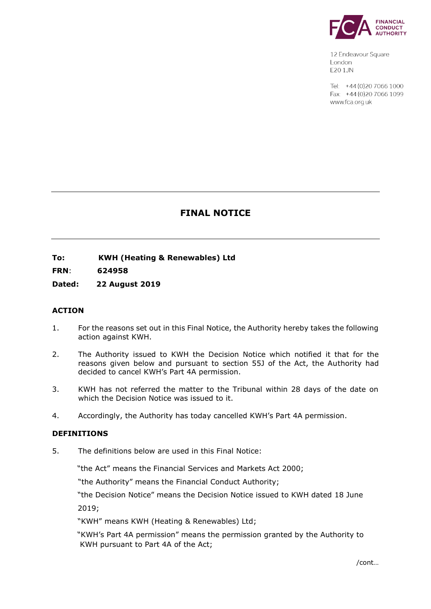

12 Endeavour Square London F201.JN

Tel: +44 (0) 20 7066 1000 Fax: +44 (0) 20 7066 1099 www.fca.org.uk

# **FINAL NOTICE**

**To: KWH (Heating & Renewables) Ltd** 

**FRN**: **624958**

**Dated: 22 August 2019**

## **ACTION**

- 1. For the reasons set out in this Final Notice, the Authority hereby takes the following action against KWH.
- 2. The Authority issued to KWH the Decision Notice which notified it that for the reasons given below and pursuant to section 55J of the Act, the Authority had decided to cancel KWH's Part 4A permission.
- 3. KWH has not referred the matter to the Tribunal within 28 days of the date on which the Decision Notice was issued to it.
- 4. Accordingly, the Authority has today cancelled KWH's Part 4A permission.

#### **DEFINITIONS**

5. The definitions below are used in this Final Notice:

"the Act" means the Financial Services and Markets Act 2000;

"the Authority" means the Financial Conduct Authority;

"the Decision Notice" means the Decision Notice issued to KWH dated 18 June 2019;

"KWH" means KWH (Heating & Renewables) Ltd;

 "KWH's Part 4A permission" means the permission granted by the Authority to KWH pursuant to Part 4A of the Act;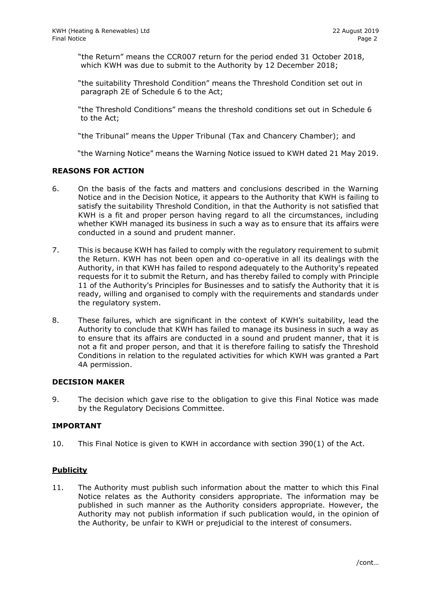"the Return" means the CCR007 return for the period ended 31 October 2018, which KWH was due to submit to the Authority by 12 December 2018;

"the suitability Threshold Condition" means the Threshold Condition set out in paragraph 2E of Schedule 6 to the Act;

"the Threshold Conditions" means the threshold conditions set out in Schedule 6 to the Act;

"the Tribunal" means the Upper Tribunal (Tax and Chancery Chamber); and

"the Warning Notice" means the Warning Notice issued to KWH dated 21 May 2019.

## **REASONS FOR ACTION**

- 6. On the basis of the facts and matters and conclusions described in the Warning Notice and in the Decision Notice, it appears to the Authority that KWH is failing to satisfy the suitability Threshold Condition, in that the Authority is not satisfied that KWH is a fit and proper person having regard to all the circumstances, including whether KWH managed its business in such a way as to ensure that its affairs were conducted in a sound and prudent manner.
- 7. This is because KWH has failed to comply with the regulatory requirement to submit the Return. KWH has not been open and co-operative in all its dealings with the Authority, in that KWH has failed to respond adequately to the Authority's repeated requests for it to submit the Return, and has thereby failed to comply with Principle 11 of the Authority's Principles for Businesses and to satisfy the Authority that it is ready, willing and organised to comply with the requirements and standards under the regulatory system.
- 8. These failures, which are significant in the context of KWH's suitability, lead the Authority to conclude that KWH has failed to manage its business in such a way as to ensure that its affairs are conducted in a sound and prudent manner, that it is not a fit and proper person, and that it is therefore failing to satisfy the Threshold Conditions in relation to the regulated activities for which KWH was granted a Part 4A permission.

#### **DECISION MAKER**

9. The decision which gave rise to the obligation to give this Final Notice was made by the Regulatory Decisions Committee.

## **IMPORTANT**

10. This Final Notice is given to KWH in accordance with section 390(1) of the Act.

## **Publicity**

11. The Authority must publish such information about the matter to which this Final Notice relates as the Authority considers appropriate. The information may be published in such manner as the Authority considers appropriate. However, the Authority may not publish information if such publication would, in the opinion of the Authority, be unfair to KWH or prejudicial to the interest of consumers.